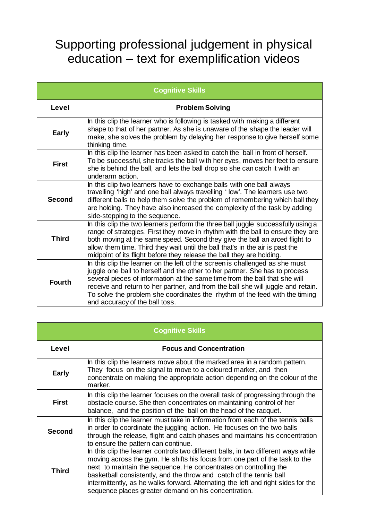## Supporting professional judgement in physical education – text for exemplification videos

| <b>Cognitive Skills</b> |                                                                                                                                                                                                                                                                                                                                                                                                                                                |
|-------------------------|------------------------------------------------------------------------------------------------------------------------------------------------------------------------------------------------------------------------------------------------------------------------------------------------------------------------------------------------------------------------------------------------------------------------------------------------|
| Level                   | <b>Problem Solving</b>                                                                                                                                                                                                                                                                                                                                                                                                                         |
| Early                   | In this clip the learner who is following is tasked with making a different<br>shape to that of her partner. As she is unaware of the shape the leader will<br>make, she solves the problem by delaying her response to give herself some<br>thinking time.                                                                                                                                                                                    |
| <b>First</b>            | In this clip the learner has been asked to catch the ball in front of herself.<br>To be successful, she tracks the ball with her eyes, moves her feet to ensure<br>she is behind the ball, and lets the ball drop so she can catch it with an<br>underarm action.                                                                                                                                                                              |
| <b>Second</b>           | In this clip two learners have to exchange balls with one ball always<br>travelling 'high' and one ball always travelling 'low'. The learners use two<br>different balls to help them solve the problem of remembering which ball they<br>are holding. They have also increased the complexity of the task by adding<br>side-stepping to the sequence.                                                                                         |
| <b>Third</b>            | In this clip the two learners perform the three ball juggle successfully using a<br>range of strategies. First they move in rhythm with the ball to ensure they are<br>both moving at the same speed. Second they give the ball an arced flight to<br>allow them time. Third they wait until the ball that's in the air is past the<br>midpoint of its flight before they release the ball they are holding.                                   |
| <b>Fourth</b>           | In this clip the learner on the left of the screen is challenged as she must<br>juggle one ball to herself and the other to her partner. She has to process<br>several pieces of information at the same time from the ball that she will<br>receive and return to her partner, and from the ball she will juggle and retain.<br>To solve the problem she coordinates the rhythm of the feed with the timing<br>and accuracy of the ball toss. |

| <b>Cognitive Skills</b> |                                                                                                                                                                                                                                                                                                                                                                                                                                                            |
|-------------------------|------------------------------------------------------------------------------------------------------------------------------------------------------------------------------------------------------------------------------------------------------------------------------------------------------------------------------------------------------------------------------------------------------------------------------------------------------------|
| Level                   | <b>Focus and Concentration</b>                                                                                                                                                                                                                                                                                                                                                                                                                             |
| <b>Early</b>            | In this clip the learners move about the marked area in a random pattern.<br>They focus on the signal to move to a coloured marker, and then<br>concentrate on making the appropriate action depending on the colour of the<br>marker.                                                                                                                                                                                                                     |
| <b>First</b>            | In this clip the learner focuses on the overall task of progressing through the<br>obstacle course. She then concentrates on maintaining control of her<br>balance, and the position of the ball on the head of the racquet.                                                                                                                                                                                                                               |
| <b>Second</b>           | In this clip the learner must take in information from each of the tennis balls<br>in order to coordinate the juggling action. He focuses on the two balls<br>through the release, flight and catch phases and maintains his concentration<br>to ensure the pattern can continue.                                                                                                                                                                          |
| <b>Third</b>            | In this clip the learner controls two different balls, in two different ways while<br>moving across the gym. He shifts his focus from one part of the task to the<br>next to maintain the sequence. He concentrates on controlling the<br>basketball consistently, and the throw and catch of the tennis ball<br>intermittently, as he walks forward. Alternating the left and right sides for the<br>sequence places greater demand on his concentration. |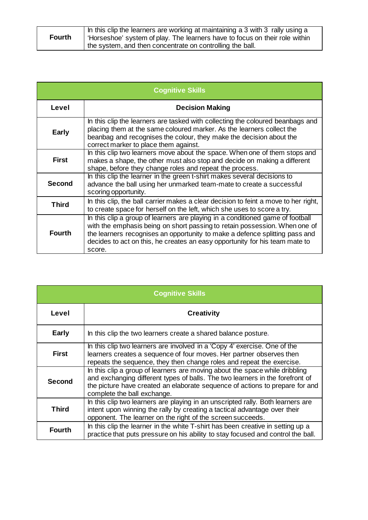| <b>Fourth</b> | In this clip the learners are working at maintaining a 3 with 3 rally using a<br>  'Horseshoe' system of play. The learners have to focus on their role within |
|---------------|----------------------------------------------------------------------------------------------------------------------------------------------------------------|
|               | the system, and then concentrate on controlling the ball.                                                                                                      |

| <b>Cognitive Skills</b> |                                                                                                                                                                                                                                                                                                                                      |
|-------------------------|--------------------------------------------------------------------------------------------------------------------------------------------------------------------------------------------------------------------------------------------------------------------------------------------------------------------------------------|
| Level                   | <b>Decision Making</b>                                                                                                                                                                                                                                                                                                               |
| <b>Early</b>            | In this clip the learners are tasked with collecting the coloured beanbags and<br>placing them at the same coloured marker. As the learners collect the<br>beanbag and recognises the colour, they make the decision about the<br>correct marker to place them against.                                                              |
| <b>First</b>            | In this clip two learners move about the space. When one of them stops and<br>makes a shape, the other must also stop and decide on making a different<br>shape, before they change roles and repeat the process.                                                                                                                    |
| <b>Second</b>           | In this clip the learner in the green t-shirt makes several decisions to<br>advance the ball using her unmarked team-mate to create a successful<br>scoring opportunity.                                                                                                                                                             |
| <b>Third</b>            | In this clip, the ball carrier makes a clear decision to feint a move to her right,<br>to create space for herself on the left, which she uses to score a try.                                                                                                                                                                       |
| <b>Fourth</b>           | In this clip a group of learners are playing in a conditioned game of football<br>with the emphasis being on short passing to retain possession. When one of<br>the learners recognises an opportunity to make a defence splitting pass and<br>decides to act on this, he creates an easy opportunity for his team mate to<br>score. |

| <b>Cognitive Skills</b> |                                                                                                                                                                                                                                                                             |
|-------------------------|-----------------------------------------------------------------------------------------------------------------------------------------------------------------------------------------------------------------------------------------------------------------------------|
| Level                   | <b>Creativity</b>                                                                                                                                                                                                                                                           |
| <b>Early</b>            | In this clip the two learners create a shared balance posture.                                                                                                                                                                                                              |
| <b>First</b>            | In this clip two learners are involved in a 'Copy 4' exercise. One of the<br>learners creates a sequence of four moves. Her partner observes then<br>repeats the sequence, they then change roles and repeat the exercise.                                                  |
| <b>Second</b>           | In this clip a group of learners are moving about the space while dribbling<br>and exchanging different types of balls. The two learners in the forefront of<br>the picture have created an elaborate sequence of actions to prepare for and<br>complete the ball exchange. |
| <b>Third</b>            | In this clip two learners are playing in an unscripted rally. Both learners are<br>intent upon winning the rally by creating a tactical advantage over their<br>opponent. The learner on the right of the screen succeeds.                                                  |
| <b>Fourth</b>           | In this clip the learner in the white T-shirt has been creative in setting up a<br>practice that puts pressure on his ability to stay focused and control the ball.                                                                                                         |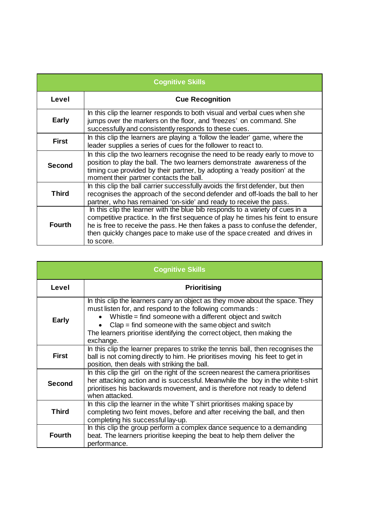| <b>Cognitive Skills</b> |                                                                                                                                                                                                                                                                                                                                             |
|-------------------------|---------------------------------------------------------------------------------------------------------------------------------------------------------------------------------------------------------------------------------------------------------------------------------------------------------------------------------------------|
| Level                   | <b>Cue Recognition</b>                                                                                                                                                                                                                                                                                                                      |
| <b>Early</b>            | In this clip the learner responds to both visual and verbal cues when she<br>jumps over the markers on the floor, and 'freezes' on command. She<br>successfully and consistently responds to these cues.                                                                                                                                    |
| <b>First</b>            | In this clip the learners are playing a 'follow the leader' game, where the<br>leader supplies a series of cues for the follower to react to.                                                                                                                                                                                               |
| <b>Second</b>           | In this clip the two learners recognise the need to be ready early to move to<br>position to play the ball. The two learners demonstrate awareness of the<br>timing cue provided by their partner, by adopting a 'ready position' at the<br>moment their partner contacts the ball.                                                         |
| <b>Third</b>            | In this clip the ball carrier successfully avoids the first defender, but then<br>recognises the approach of the second defender and off-loads the ball to her<br>partner, who has remained 'on-side' and ready to receive the pass.                                                                                                        |
| <b>Fourth</b>           | In this clip the learner with the blue bib responds to a variety of cues in a<br>competitive practice. In the first sequence of play he times his feint to ensure<br>he is free to receive the pass. He then fakes a pass to confuse the defender,<br>then quickly changes pace to make use of the space created and drives in<br>to score. |

| <b>Cognitive Skills</b> |                                                                                                                                                                                                                                                                                                                                                       |
|-------------------------|-------------------------------------------------------------------------------------------------------------------------------------------------------------------------------------------------------------------------------------------------------------------------------------------------------------------------------------------------------|
| Level                   | <b>Prioritising</b>                                                                                                                                                                                                                                                                                                                                   |
| <b>Early</b>            | In this clip the learners carry an object as they move about the space. They<br>must listen for, and respond to the following commands:<br>Whistle = find someone with a different object and switch<br>$Clap = find$ someone with the same object and switch<br>The learners prioritise identifying the correct object, then making the<br>exchange. |
| <b>First</b>            | In this clip the learner prepares to strike the tennis ball, then recognises the<br>ball is not coming directly to him. He prioritises moving his feet to get in<br>position, then deals with striking the ball.                                                                                                                                      |
| <b>Second</b>           | In this clip the girl on the right of the screen nearest the camera prioritises<br>her attacking action and is successful. Meanwhile the boy in the white t-shirt<br>prioritises his backwards movement, and is therefore not ready to defend<br>when attacked.                                                                                       |
| <b>Third</b>            | In this clip the learner in the white T shirt prioritises making space by<br>completing two feint moves, before and after receiving the ball, and then<br>completing his successful lay-up.                                                                                                                                                           |
| <b>Fourth</b>           | In this clip the group perform a complex dance sequence to a demanding<br>beat. The learners prioritise keeping the beat to help them deliver the<br>performance.                                                                                                                                                                                     |